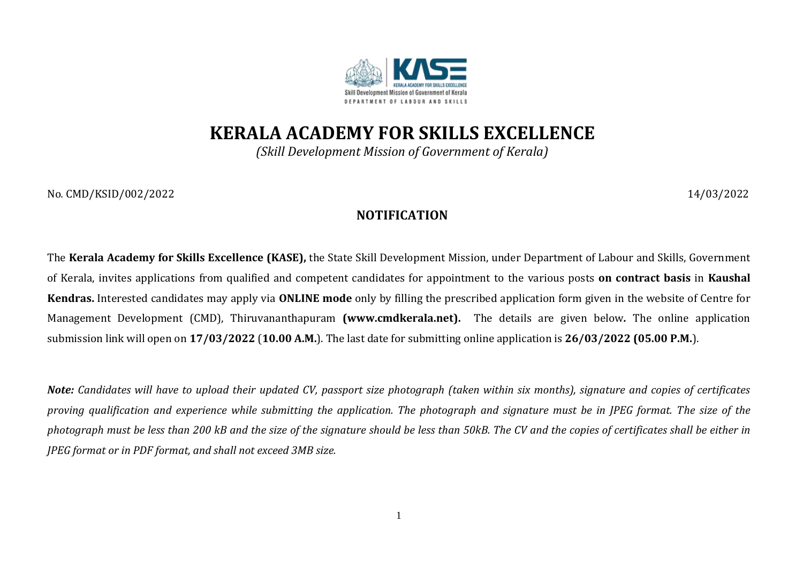

**KERALA ACADEMY FOR SKILLS EXCELLENCE**

*(Skill Development Mission of Government of Kerala)*

No*.* CMD/KSID/002/2022 14/03/2022

## **NOTIFICATION**

The **Kerala Academy for Skills Excellence (KASE),** the State Skill Development Mission, under Department of Labour and Skills, Government of Kerala, invites applications from qualified and competent candidates for appointment to the various posts **on contract basis** in **Kaushal Kendras.** Interested candidates may apply via **ONLINE mode** only by filling the prescribed application form given in the website of Centre for Management Development (CMD), Thiruvananthapuram **[\(www.cmdkerala.net\)](about:blank).** The details are given below*.* The online application submission link will open on **17/03/2022** (**10.00 A.M.**). The last date for submitting online application is **26/03/2022 (05.00 P.M.**).

*Note: Candidates will have to upload their updated CV, passport size photograph (taken within six months), signature and copies of certificates proving qualification and experience while submitting the application. The photograph and signature must be in JPEG format. The size of the photograph must be less than 200 kB and the size of the signature should be less than 50kB. The CV and the copies of certificates shall be either in JPEG format or in PDF format, and shall not exceed 3MB size.*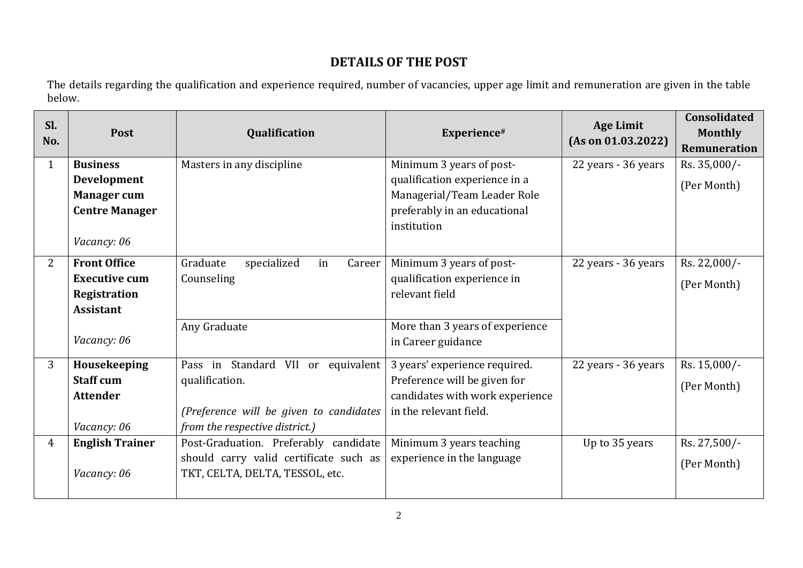## **DETAILS OF THE POST**

The details regarding the qualification and experience required, number of vacancies, upper age limit and remuneration are given in the table below.

| Sl.<br>No.   | Post                   | Qualification                           | Experience#                                 | <b>Age Limit</b><br>(As on 01.03.2022) | <b>Consolidated</b><br><b>Monthly</b><br><b>Remuneration</b> |
|--------------|------------------------|-----------------------------------------|---------------------------------------------|----------------------------------------|--------------------------------------------------------------|
| $\mathbf{1}$ | <b>Business</b>        | Masters in any discipline               | Minimum 3 years of post-                    | 22 years - 36 years                    | Rs. 35,000/-                                                 |
|              | <b>Development</b>     |                                         | qualification experience in a               |                                        | (Per Month)                                                  |
|              | <b>Manager cum</b>     |                                         | Managerial/Team Leader Role                 |                                        |                                                              |
|              | <b>Centre Manager</b>  |                                         | preferably in an educational<br>institution |                                        |                                                              |
|              | Vacancy: 06            |                                         |                                             |                                        |                                                              |
| 2            | <b>Front Office</b>    | Graduate<br>specialized<br>Career<br>in | Minimum 3 years of post-                    | 22 years - 36 years                    | Rs. 22,000/-                                                 |
|              | <b>Executive cum</b>   | Counseling                              | qualification experience in                 |                                        | (Per Month)                                                  |
|              | Registration           |                                         | relevant field                              |                                        |                                                              |
|              | <b>Assistant</b>       |                                         |                                             |                                        |                                                              |
|              |                        | Any Graduate                            | More than 3 years of experience             |                                        |                                                              |
|              | Vacancy: 06            |                                         | in Career guidance                          |                                        |                                                              |
| 3            | Housekeeping           | Pass in Standard VII or equivalent      | 3 years' experience required.               | 22 years - 36 years                    | Rs. 15,000/-                                                 |
|              | <b>Staff cum</b>       | qualification.                          | Preference will be given for                |                                        | (Per Month)                                                  |
|              | <b>Attender</b>        |                                         | candidates with work experience             |                                        |                                                              |
|              |                        | (Preference will be given to candidates | in the relevant field.                      |                                        |                                                              |
|              | Vacancy: 06            | from the respective district.)          |                                             |                                        |                                                              |
| 4            | <b>English Trainer</b> | Post-Graduation. Preferably candidate   | Minimum 3 years teaching                    | Up to 35 years                         | Rs. 27,500/-                                                 |
|              |                        | should carry valid certificate such as  | experience in the language                  |                                        | (Per Month)                                                  |
|              | Vacancy: 06            | TKT, CELTA, DELTA, TESSOL, etc.         |                                             |                                        |                                                              |
|              |                        |                                         |                                             |                                        |                                                              |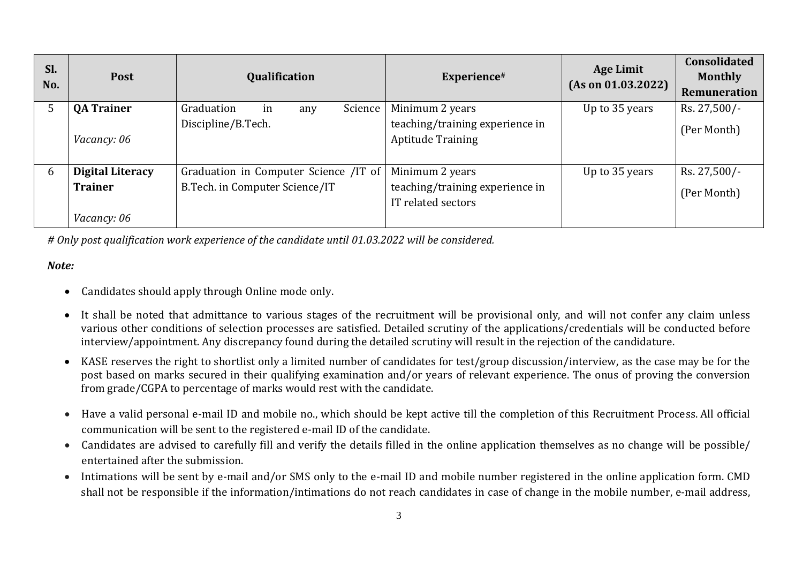| Sl.<br>No. | <b>Post</b>             | Qualification                         | Experience#                     | <b>Age Limit</b><br>(As on 01.03.2022) | <b>Consolidated</b><br><b>Monthly</b><br>Remuneration |
|------------|-------------------------|---------------------------------------|---------------------------------|----------------------------------------|-------------------------------------------------------|
| 5          | <b>QA Trainer</b>       | Graduation<br>Science  <br>in<br>any  | Minimum 2 years                 | Up to 35 years                         | Rs. 27,500/-                                          |
|            |                         | Discipline/B.Tech.                    | teaching/training experience in |                                        | (Per Month)                                           |
|            | <i>Vacancy: 06</i>      |                                       | <b>Aptitude Training</b>        |                                        |                                                       |
|            |                         |                                       |                                 |                                        |                                                       |
| 6          | <b>Digital Literacy</b> | Graduation in Computer Science /IT of | Minimum 2 years                 | Up to 35 years                         | Rs. 27,500/-                                          |
|            | <b>Trainer</b>          | B.Tech. in Computer Science/IT        | teaching/training experience in |                                        | (Per Month)                                           |
|            |                         |                                       | IT related sectors              |                                        |                                                       |
|            | <i>Vacancy: 06</i>      |                                       |                                 |                                        |                                                       |

*# Only post qualification work experience of the candidate until 01.03.2022 will be considered.*

## *Note:*

- Candidates should apply through Online mode only.
- It shall be noted that admittance to various stages of the recruitment will be provisional only, and will not confer any claim unless various other conditions of selection processes are satisfied. Detailed scrutiny of the applications/credentials will be conducted before interview/appointment. Any discrepancy found during the detailed scrutiny will result in the rejection of the candidature.
- KASE reserves the right to shortlist only a limited number of candidates for test/group discussion/interview, as the case may be for the post based on marks secured in their qualifying examination and/or years of relevant experience. The onus of proving the conversion from grade/CGPA to percentage of marks would rest with the candidate.
- Have a valid personal e-mail ID and mobile no., which should be kept active till the completion of this Recruitment Process. All official communication will be sent to the registered e-mail ID of the candidate.
- Candidates are advised to carefully fill and verify the details filled in the online application themselves as no change will be possible/ entertained after the submission.
- Intimations will be sent by e-mail and/or SMS only to the e-mail ID and mobile number registered in the online application form. CMD shall not be responsible if the information/intimations do not reach candidates in case of change in the mobile number, e-mail address,